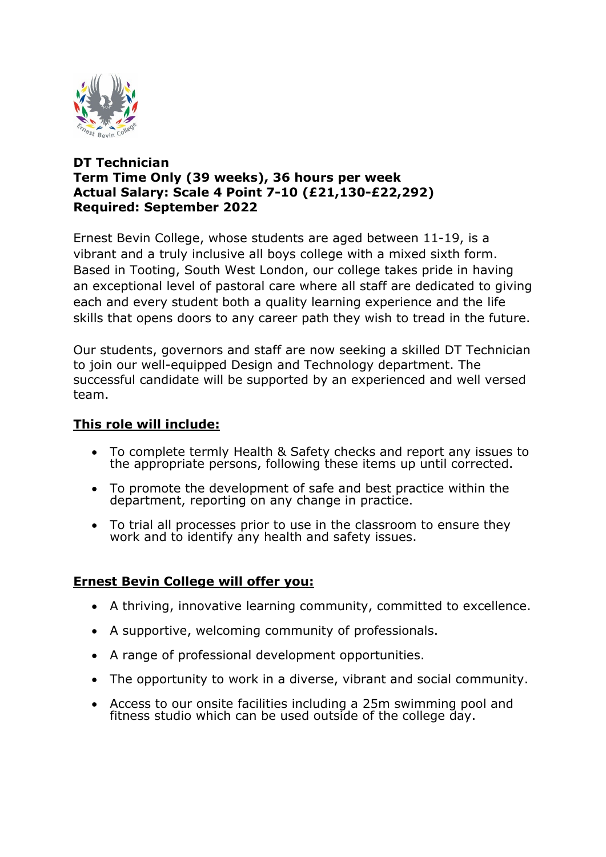

### **DT Technician Term Time Only (39 weeks), 36 hours per week Actual Salary: Scale 4 Point 7-10 (£21,130-£22,292) Required: September 2022**

Ernest Bevin College, whose students are aged between 11-19, is a vibrant and a truly inclusive all boys college with a mixed sixth form. Based in Tooting, South West London, our college takes pride in having an exceptional level of pastoral care where all staff are dedicated to giving each and every student both a quality learning experience and the life skills that opens doors to any career path they wish to tread in the future.

Our students, governors and staff are now seeking a skilled DT Technician to join our well-equipped Design and Technology department. The successful candidate will be supported by an experienced and well versed team.

## **This role will include:**

- To complete termly Health & Safety checks and report any issues to the appropriate persons, following these items up until corrected.
- To promote the development of safe and best practice within the department, reporting on any change in practice.
- To trial all processes prior to use in the classroom to ensure they work and to identify any health and safety issues.

### **Ernest Bevin College will offer you:**

- A thriving, innovative learning community, committed to excellence.
- A supportive, welcoming community of professionals.
- A range of professional development opportunities.
- The opportunity to work in a diverse, vibrant and social community.
- Access to our onsite facilities including a 25m swimming pool and fitness studio which can be used outside of the college day.